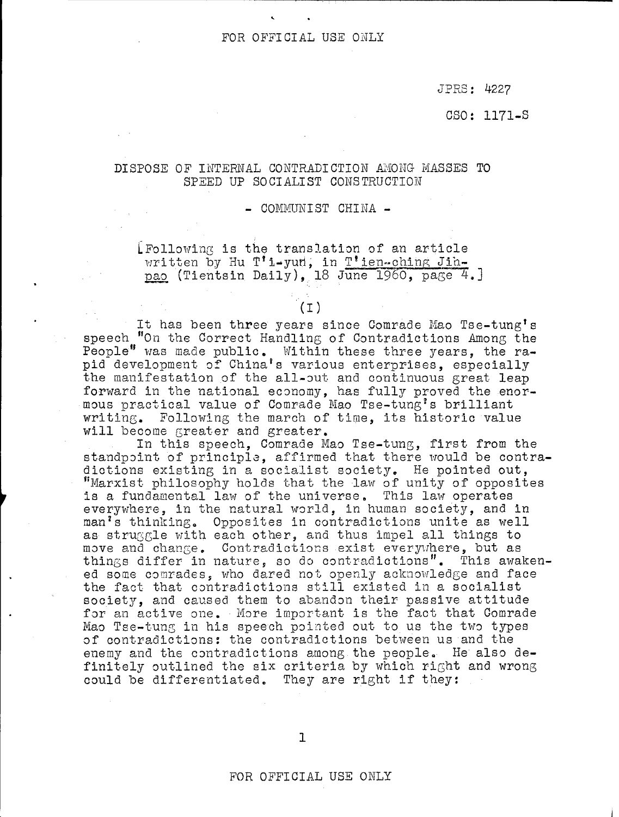## FOR OFFICIAL USE ONLY

JPRS: 4227

 $CSO: 1171-<sub>S</sub>$ 

### DISPOSE OF INTERNAL CONTRADICTION AMONG MASSES TO SPEED UP SOCIALIST CONSTRUCTION

#### - COMMUNIST CHINA -

LFollowing is the translation of an article written by Hu T'i-yun, in T'ien-ching Jihpao (Tientsin Daily), 18 June 1960, page 4.

# $(T)$

It has been three years since Comrade Mao Tse-tung's speech "On the Correct Handling of Contradictions Among the People" was made public. Within these three years, the rapid development of China's various enterprises, especially the manifestation of the all-out and continuous great leap forward in the national economy, has fully proved the enormous practical value of Comrade Mao Tse-tung's brilliant writing. Following the march of time, its historic value will become greater and greater.

In this speech, Comrade Mao Tse-tung, first from the standpoint of principle, affirmed that there would be contradictions existing in a socialist society. He pointed out, "Marxist philosophy holds that the law of unity of opposites is a fundamental law of the universe. This law operates everywhere, in the natural world, in human society, and in man's thinking. Opposites in contradictions unite as well as struggle with each other, and thus impel all things to move and change. Contradictions exist everywhere, but as things differ in nature, so do contradictions". This awakened some comrades, who dared not openly acknowledge and face the fact that contradictions still existed in a socialist society, and caused them to abandon their passive attitude for an active one. More important is the fact that Comrade Mao Tse-tung in his speech pointed out to us the two types of contradictions: the contradictions between us and the enemy and the contradictions among the people. He also definitely outlined the six criteria by which right and wrong could be differentiated. They are right if they: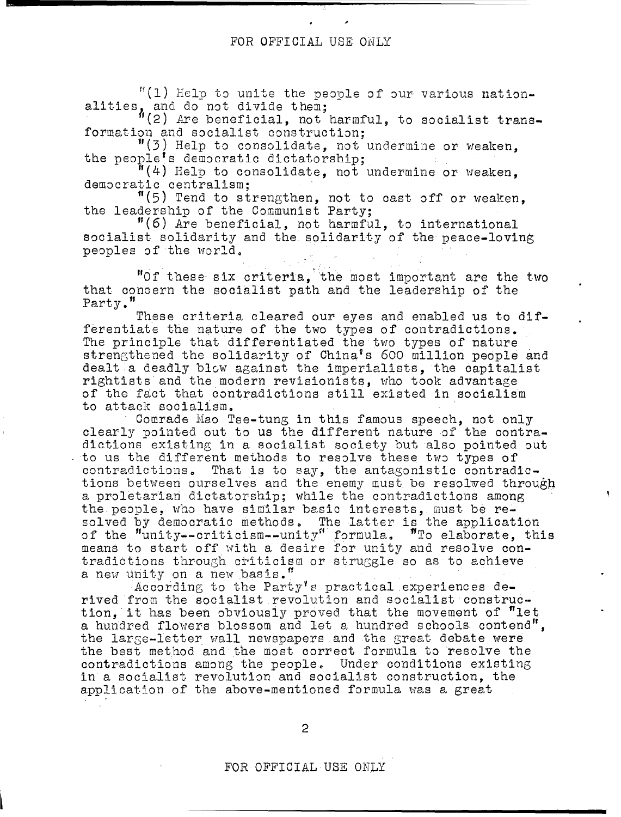### FOR OFFICIAL USE ONLY

 $"(1)$  Help to unite the people of our various nationalities, and do not divide them;

~(2) *Fxe* beneficial, not harmful, to socialist transformation and socialist construction;

 $"$ (3) Help to consolidate, not undermine or weaken, the people's democratic dictatorship;

 $\begin{bmatrix} \mathbf{F}(4) & \text{He1p to considerable, not undermine or weaker,} \\ \text{denocratio centralism:} \end{bmatrix}$ 

 $^{\prime\prime}$ (5) Tend to strengthen, not to cast off or weaken, the leadership of the Communist Party:

 $"(6)$  Are beneficial, not harmful, to international socialist solidarity and the solidarity of the peace-loving peoples of the world.

"Of these six criteria, the most important are the two that concern the socialist path and the leadership of the Party."

These criteria cleared our eyes and enabled us to differentiate the nature of the two types of contradictions. The principle that differentiated the two types of nature strengthened the solidarity of China's 600 million people and dealt a deadly blew against the imperialists, the capitalist rightists and the modern revisionists, who took advantage of the fact that contradictions still existed in socialism to attack sociallsm.

Comrade Mao Tse-tung in this famous speech, not only clearly pointed out to us the different nature of the contradictions existing in a socialist society but also pointed out to us the different methods to resolve these two types of contradictions. That is to say, the antagonistic contradictions between ourselves and the enemy must be resolwed through a proletarian dictatorship; while the contradictions among the people, who have similar basic interests, must be resolved by democratic methods. The latter is the application of the "unity--criticism--unity" formula. "To elaborate, this means to start off with a desire for unity and resolve contradictions through criticism or struggle so as to achieve a new unity on a new basis."

According to the Party's practical experiences derived from the socialist revolution and socialist construction, it has been obviously proved that the movement of  $"$ let a hundred flowers blossom and let a hundred schools contend", the large-letter wall newspapers and the great debate were the best method and the most correct formula to resolve the contradictions among the people. Under conditions existing in a socialist revolution and socialist construction, the application of the above-mentioned formula was a great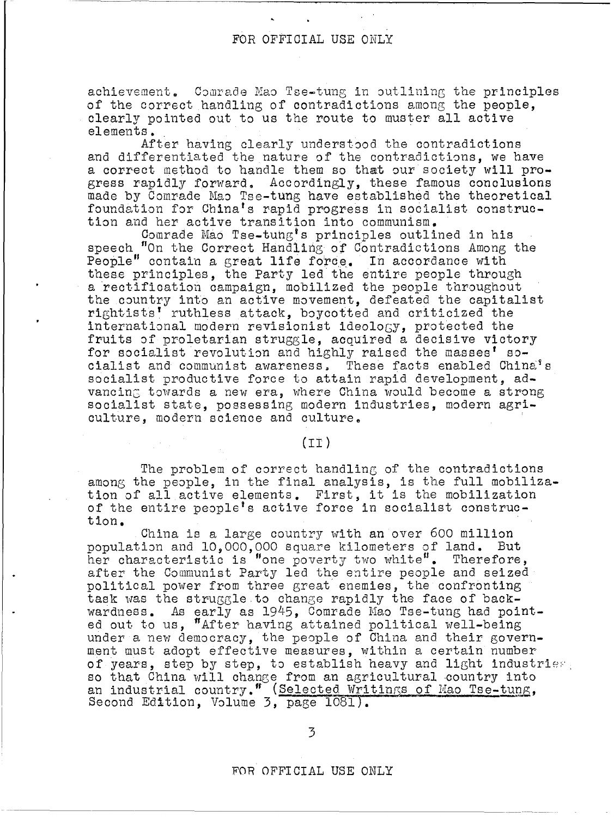achievement. Comrade Mao Tse-tung in outlining the principles of the correct handling of contradictions among the people, clearly pointed out to us the route to muster all active elements.

After having clearly understood the contradictions and differentiated the nature of the contradictions, we have a correct method to handle them so that our society will progress rapidly forward. Accordingly, these famous conclusions made by Comrade Mao Tse-tung have established the theoretical foundation for China's rapid progress in socialist construction and her active transition into communism.

Comrade Mao Tse-tung's principles outlined in his speech "On the Correct Handling of Contradictions Among the People" contain a great life force. In accordance with these principles, the Party led the entire people through a rectification campaign, mobilized the people throughout the country into an active movement, defeated the capitalist rightists' ruthless attack, boycotted and criticized the international modern revisionist ideology, protected the fruits of proletarian struggle, acquired a decisive victory for socialist revolution and highly raised the masses' socialist and communist awareness. These facts enabled China's socialist productive force to attain rapid development, advancing towards a new era, where China would become a strong socialist state, possessing modern industries, modern agriculture, modern science and culture.

## $(TI)$

The problem of correct handling of the contradictions among the people, in the final analysis, is the full mobilization of all active elements. First, it is the mobilization of the entire people's active force in socialist construction.

China is a large country with an over 600 million population and 10.000.000 square kilometers of land. But her characteristic is "one poverty two white". Therefore, after the Communist Party led the entire people and seized political power from three great enemies, the confronting task was the struggle to change rapidly the face of backwardness. As early as 1945, Comrade Mao Tse-tung had pointed out to us, "After having attained political well-being under a new democracy, the people of China and their government must adopt effective measures, within a certain number of years, step by step, to establish heavy and light industries, so that China will change from an agricultural country into an industrial country." (Selected Writings of Mao Tse-tung, Second Edition, Volume 3, page 1081).

FOR OFFICIAL USE ONLY

-------------------------------------------------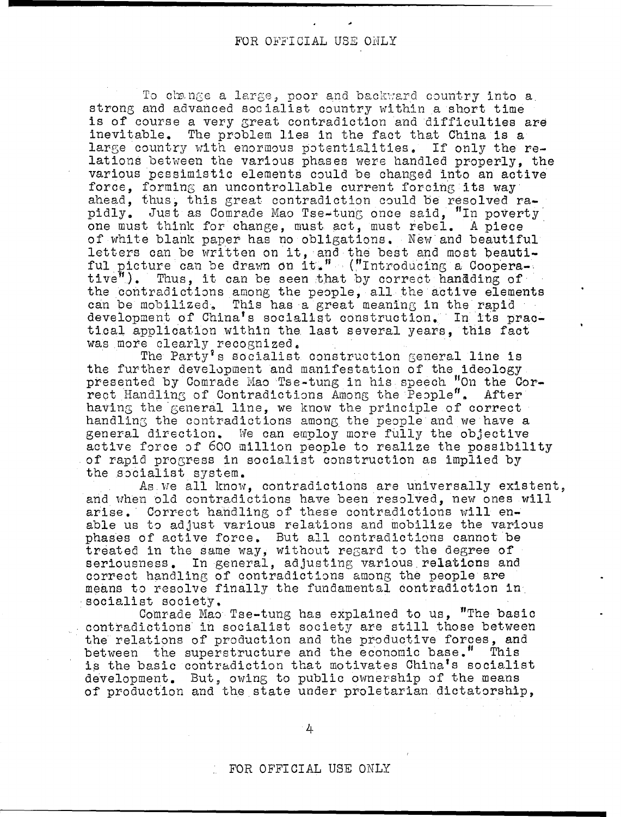To change a large, poor and backward country into a strong and advanced socialist country within a short time is of course a very great contradiction and difficulties are inevitable. The problem lies in the fact that China is a large country with enormous potentialities. If only the relations between the various phases were handled properly, the various pessimistic elements could be changed into an active force, forming an uncontrollable current forcing its way ahead, thus, this great contradiction could be resolved rapidly. Just as Comrade Mao Tse-tung once said, "In poverty one must think for change, must act, must rebel. A piece of white blank paper has no obligations. New and beautiful letters can be written on it, and the best and most beautiful picture can be drawn on it." ("Introducing a Coopera- $\texttt{tive}^{\texttt{w}}$ ). Thus, it can be seen that by correct handding of the contradictions among the people, all the active elements can be mobilized. This has a great meaning in the rapid development of China's socialist construction. In its practical application within the last several years, this fact was more clearly recognized.

The Party's socialist construction general line is the further development and manifestation of the ideology presented by Comrade Mao Tse-tung in his speech "On the Cor-<br>rect Handling of Contradictions Among the People". After having the general line, we know the principle of correct handling the contradictions among the people and we have a general direction. We can employ more fully the objective active force of 600 million people to realize the possibility of rapid progress in socialist construction as implied by the socialist system.

As we all know, contradictions are universally existent, and when old contradictions have been resolved, new ones will arise. Correct handling of these contradictions will enable us to adjust various relations and mobilize the various phases of active force. But all contradictions cannot be treated in the same way, without regard to the degree of seriousness. In general, adjusting various relations and correct handling of contradictions among the people are means to resolve finally the fundamental contradiction in socialist society.

Comrade Mao Tse-tung has explained to us, "The basic contradictions in socialist society are still those between the relations of production and the productive forces, and between the superstructure and the economic base." This is the basic contradiction that motivates China's socialist development. But, owing to public ownership of the means of production and the state under proletarian dictatorship,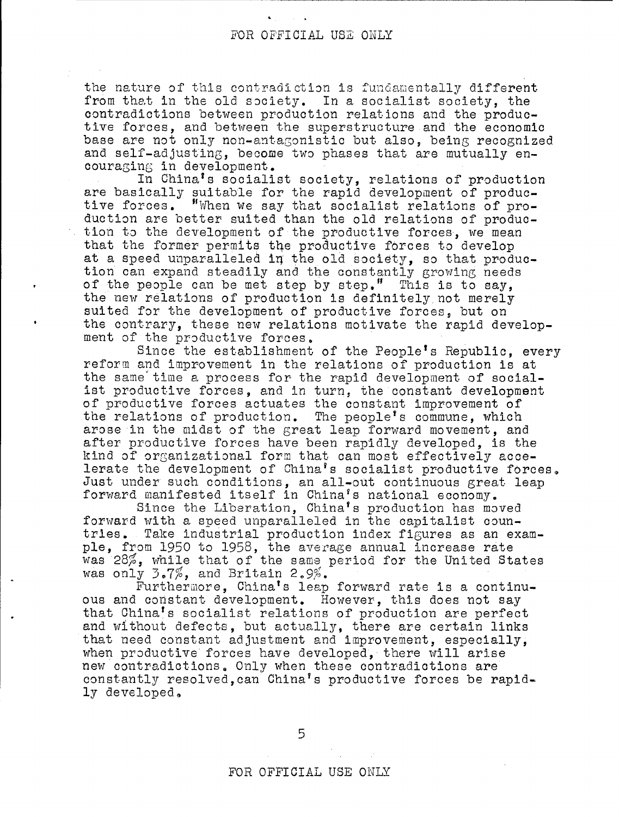the nature of this contradiction is fundamentally different from that in the old society. In a socialist society, the contradictions between production relations and the productive forces, and between the superstructure and the economic base are not only non-antaGonistic but also, being recognized and self-adjusting, become two phases that are mutually encouraging in development.

In China's socialist society, relations of production are basically suitable for the rapid development of productive forces. "When we say that socialist relations of production are better suited than the old relations of production to the development of the produotive forces, we mean that the former permits the productive forces to develop at a speed unparalleled in the old society, so that production can expand steadily and the constantly growing needs of the people can be met step by step." This is to say, the new relations of production is definitely not merely suited for the development of productive forces, but on the contrary, these new relations motivate the rapid development of the productive forces.

Since the establishment of the People's Republic, every reform and improvement in the relations of production is at the same'time a process for the rapid development of socialist productive forces, and in turn, the constant development of productive forces actuates the constant improvement of the relations of production. The people's commune, which arose in the midst of the great leap forward movement, and after productive forces have been rapidly developed, is the kind of orGanizational form that can most effectively accelerate the development of China's socialist productive forces. Just under such conditions, an all-out continuous great leap forward manifested itself in China's national economy.

Since the Liberation, China's production has moved forward with a speed unparalleled in the capitalist countries. Take industrial production index figures as an example, from 1950 to 1958, the average annual increase rate was 28%, while that of the same period for the United States was only  $3.7\%$ , and Britain 2.9%.

Furthermore, China's leap forward rate is a continuous and constant development. However, this does not say that China's socialist relations of production are perfect and without defects, but actually, there are certain links that need constant adjustment and improvement, especially, when productive forces have developed, there will arise new contradictions. Only when these contradictions are constantly resolved,can China's productive forces be rapidly developed.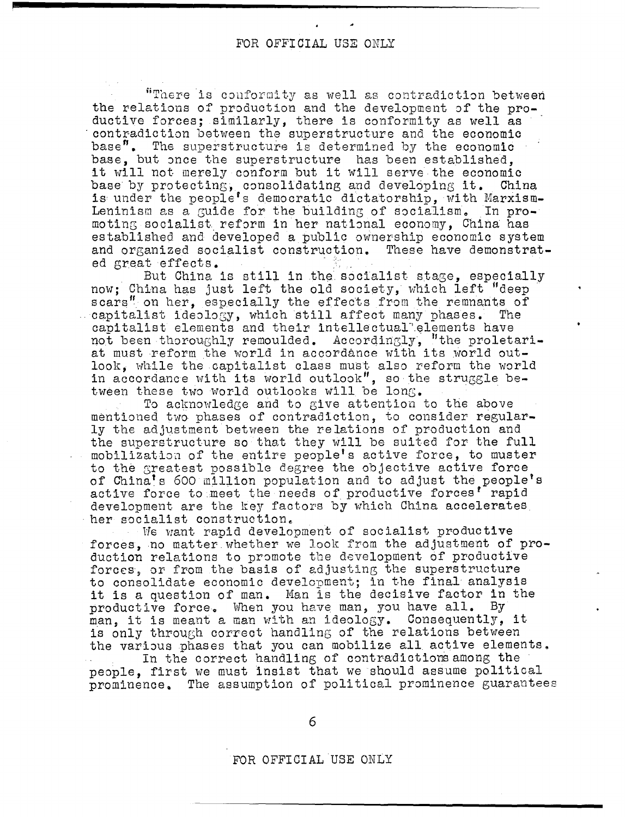"There is conformity as well as contradiction between the relations of production and the development of the productive forces; similarly, there is conformity as well as contradiction between the superstructure and the economic base". The superstructure is determined by the economic base, but once the superstructure has been established. it will not merely conform but it will serve the economic base by protecting, consolidating and developing it. China is under the people's democratic dictatorship, with Marxism-Leninism as a guide for the building of socialism. In promoting socialist reform in her national economy, China has established and developed a public ownership economic system and organized socialist construction. These have demonstrated great effects.

But China is still in the socialist stage, especially now; China has just left the old society, which left "deep scars" on her. especially the effects from the remnants of capitalist ideology, which still affect many phases. The capitalist elements and their intellectual elements have not been thoroughly remoulded. Accordingly, "the proletariat must reform the world in accordance with its world outlook, while the capitalist class must also reform the world in accordance with its world outlook", so the struggle between these two world outlooks will be long.

To acknowledge and to give attention to the above mentioned two phases of contradiction, to consider regularly the adjustment between the relations of production and the superstructure so that they will be suited for the full mobilization of the entire people's active force, to muster to the greatest possible degree the objective active force of China's 600 million population and to adjust the people's active force to meet the needs of productive forces' rapid development are the key factors by which China accelerates her socialist construction.

We want rapid development of socialist productive forces, no matter whether we look from the adjustment of production relations to promote the development of productive forces, or from the basis of adjusting the superstructure to consolidate economic development; in the final analysis it is a question of man. Man is the decisive factor in the productive force. When you have man, you have all. By man, it is meant a man with an ideology. Consequently, it is only through correct handling of the relations between the various phases that you can mobilize all active elements.

In the correct handling of contradictions among the people. first we must insist that we should assume political prominence. The assumption of political prominence guarantees

6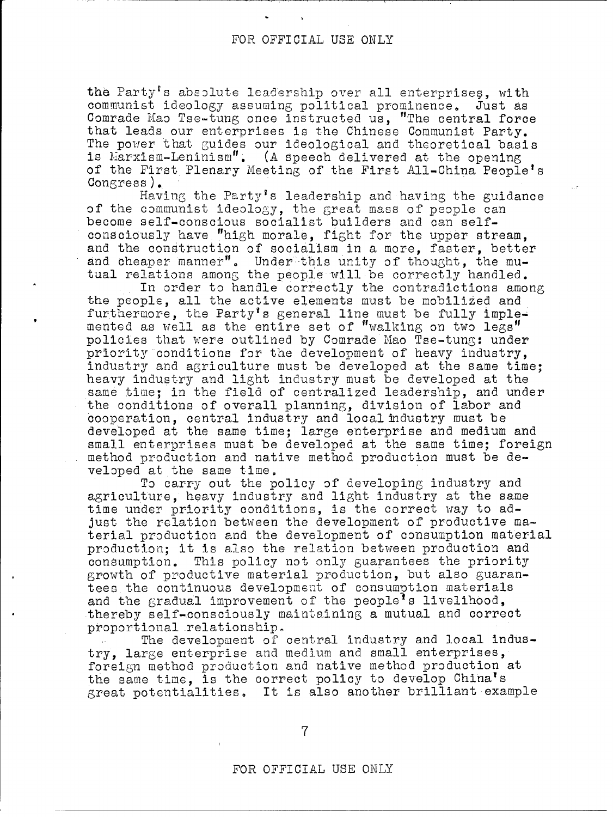the Party's absolute leadership over all enterprises, with communist ideology assuming political prominence. Just as Comrade Mao Tse-tung once instructed us, "The central force that leads our enterprises is the Chinese Communist Party. The power that guides our ideological and theoretical basis is Marxism-Leninism". (A speech delivered at the opening of the First Plenary Meeting of the First All-China People's  $Congress$ ).

Having the Party's leadership and having the guidance of the communist ideology, the great mass of people can become self-conscious socialist builders and can selfconsciously have "high morale, fight for the upper stream, and the construction of socialism in a more, faster, better and cheaper manner". Under this unity of thought, the mutual relations among the people will be correctly handled.

In order to handle correctly the contradictions among the people, all the active elements must be mobilized and furthermore, the Party's general line must be fully implemented as well as the entire set of "walking on two legs" policies that were outlined by Comrade Mao Tse-tung: under priority conditions for the development of heavy industry. industry and agriculture must be developed at the same time; heavy industry and light industry must be developed at the same time; in the field of centralized leadership, and under the conditions of overall planning, division of labor and cooperation, central industry and local industry must be developed at the same time; large enterprise and medium and small enterprises must be developed at the same time; foreign method production and native method production must be developed at the same time.

To carry out the policy of developing industry and agriculture, heavy industry and light industry at the same time under priority conditions, is the correct way to adjust the relation between the development of productive material production and the development of consumption material production; it is also the relation between production and consumption. This policy not only guarantees the priority growth of productive material production, but also guarantees the continuous development of consumption materials and the gradual improvement of the people's livelihood, thereby self-consciously maintaining a mutual and correct proportional relationship.

The development of central industry and local industry, large enterprise and medium and small enterprises, foreign method production and native method production at the same time, is the correct policy to develop China's great potentialities. It is also another brilliant example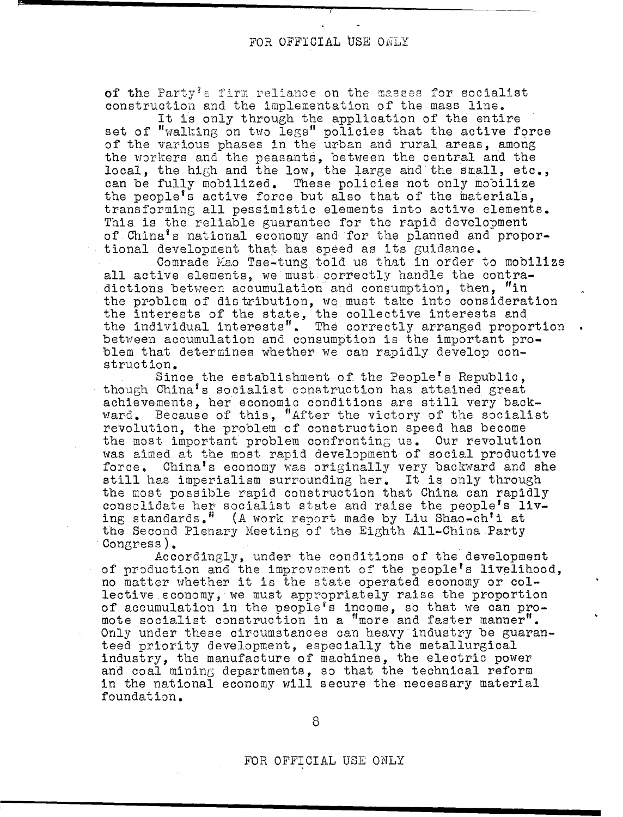of the Party's firm reliance on the masses for socialist construction and the implementation of the mass line.

It is only through the application of the entire set of "walking on two legs" policies that the active force of the various phases in the urban and rural areas, among the workers and the peasants, between the central and the local, the hiGh and the low, the large ahd'the small, etc., can be fully mobilized. These policies not only mobilize the people's active force but also that of the materials, transforming all pessimistic elements into active elements. This is the reliable guarantee for the rapid development of China's national economy and for the planned and proportional development that has speed as its guidance.

Comrade Mao Tse-tung told us that in order to mobilize all active elements, we must correctly handle the contradictions between accumulation and consumption, then, "in the problem of distribution, we must take into consideration the interests of the state, the collective interests and the individual interests". The correctly arranged proportion between accumulation and consumption is the important problem that determines whether we can rapidly develop construction.

Since the establishment of the People's Republic. though China's socialist construction has attained great achievements, her economic conditions are still very backward. Because of this, "After the victory of the socialist revolution, the problem of construction speed has become the most important problem confronting us. Our revolution was aimed at the most rapid development of social productive force. China's economy was originally very backward and she still has imperialism surrounding her. It is only through the most possible rapid construction that China can rapidly consolidate her socialist state and raise the people's living standards.<sup>"</sup> (A work report made by Liu Shao-ch'i at the Second Plenary Meeting of the Eighth All-China Party Congress).

Accordingly, under the conditions of the development of production and the improvement of the people's livelihood, no matter whether it is the state operated economy or collective economy, we must appropriately raise the proportion of accumulation in the people's income, so that we can promote socialist construction in a "more and faster manner". Only under these circumstances can heavy industry be guaranteed priority development, especially the metallurgical industry, the manufacture of machines, the electric power and coal mining departments, so that the technical reform in the national economy will secure the necessary material foundation.

8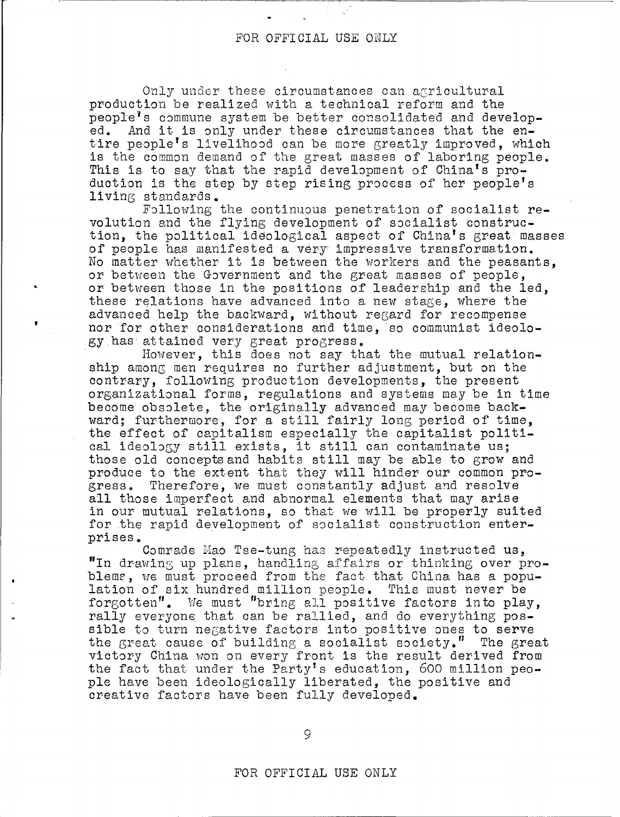Only under these circumstances can agricultural production be realized with a technical reform and the people's commune system be better consolidated and develop-<br>ed. And it is only under these circumstances that the en-And it is only under these circumstances that the entire people's livelihood can be more greatly improved, which is the common demand of the great masses of laboring people. This is to say that the rapid development of China's production is the step by step rising process of her people's living standards.

Following the continuous penetration of socialist revolution and the flying development of socialist construction, the political ideological aspect of China's great masses of people has manifested a very impressive transformation. No matter whether it 1s between the workers and the peasants, or between the Government and the great masses of people, or between those in the positions of leadership and the led, these relations have advanced into a new stage, where the advanced help the backward, without regard for recompense nor for other considerations and time, so communist ideology has attained very great progress.

. However, this does not say that the mutual relationship among men requires no further adjustment, but on the contrary, following production developments, the present organizational forms, regulations and systems may be in time become obsolete, the originally advanced may become backward; furthermore, for <sup>a</sup> still fairly long period of time, the effect of capitalism especially the capitalist political ideology still exists, it still can contaminate us: those old concepts and habits still may be able to grow and produce to the extent that they will hinder our common progress. Therefore, we must constantly adjust and resolve all those imperfect and abnormal elements that may arise in our mutual relations, so that we will be properly suited for the rapid development of socialist construction enterprises.

Comrade Mao Tse-tung has repeatedly instructed us, "In drawing up plans, handling affairs or thinking over problems, we must proceed from the fact that China has a population of six hundred million people. This must never be forgotten". We must "bring all positive factors into play, rally everyone that can be rallied, and do everything possible to turn negative factors into positive ones to serve the great cause of building a socialist society." The great victory China won on every front is the result derived from the fact that under the Party's education, 600 million people have been ideologically liberated, the positive and creative factors have been fully developed.